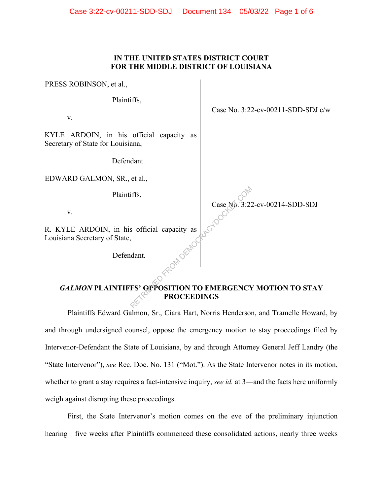## **IN THE UNITED STATES DISTRICT COURT FOR THE MIDDLE DISTRICT OF LOUISIANA**

PRESS ROBINSON, et al.,

Plaintiffs,

v.

KYLE ARDOIN, in his official capacity as Secretary of State for Louisiana,

Defendant.

EDWARD GALMON, SR., et al.,

Plaintiffs,

v.

R. KYLE ARDOIN, in his official capacity as Louisiana Secretary of State,

Defendant.

Case No. 3:22-cv-00211-SDD-SDJ c/w

Case No. 3:22-cv-00214-SDD-SDJ

# *GALMON* **PLAINTIFFS' OPPOSITION TO EMERGENCY MOTION TO STAY PROCEEDINGS** FROM Case No. 3:22

Plaintiffs Edward Galmon, Sr., Ciara Hart, Norris Henderson, and Tramelle Howard, by and through undersigned counsel, oppose the emergency motion to stay proceedings filed by Intervenor-Defendant the State of Louisiana, by and through Attorney General Jeff Landry (the "State Intervenor"), *see* Rec. Doc. No. 131 ("Mot."). As the State Intervenor notes in its motion, whether to grant a stay requires a fact-intensive inquiry, *see id.* at 3—and the facts here uniformly weigh against disrupting these proceedings.

First, the State Intervenor's motion comes on the eve of the preliminary injunction hearing—five weeks after Plaintiffs commenced these consolidated actions, nearly three weeks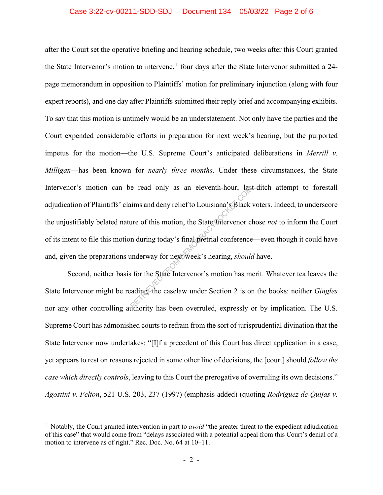### Case 3:22-cv-00211-SDD-SDJ Document 134 05/03/22 Page 2 of 6

after the Court set the operative briefing and hearing schedule, two weeks after this Court granted the State Intervenor's motion to intervene,<sup>1</sup> four days after the State Intervenor submitted a 24page memorandum in opposition to Plaintiffs' motion for preliminary injunction (along with four expert reports), and one day after Plaintiffs submitted their reply brief and accompanying exhibits. To say that this motion is untimely would be an understatement. Not only have the parties and the Court expended considerable efforts in preparation for next week's hearing, but the purported impetus for the motion—the U.S. Supreme Court's anticipated deliberations in *Merrill v. Milligan*—has been known for *nearly three months*. Under these circumstances, the State Intervenor's motion can be read only as an eleventh-hour, last-ditch attempt to forestall adjudication of Plaintiffs' claims and deny relief to Louisiana's Black voters. Indeed, to underscore the unjustifiably belated nature of this motion, the State Intervenor chose *not* to inform the Court of its intent to file this motion during today's final pretrial conference—even though it could have and, given the preparations underway for next week's hearing, *should* have. e read only as an eleventh-hour, last<br>ims and deny relief to Louisiana's Black<br>ure of this motion, the State Intervenor c<br>n during today's final pretrial conference<br>inderway for next week's hearing, *should*<br>is for the Sta

Second, neither basis for the State Intervenor's motion has merit. Whatever tea leaves the State Intervenor might be reading, the caselaw under Section 2 is on the books: neither *Gingles* nor any other controlling authority has been overruled, expressly or by implication. The U.S. Supreme Court has admonished courts to refrain from the sort of jurisprudential divination that the State Intervenor now undertakes: "[I]f a precedent of this Court has direct application in a case, yet appears to rest on reasons rejected in some other line of decisions, the [court] should *follow the case which directly controls*, leaving to this Court the prerogative of overruling its own decisions." *Agostini v. Felton*, 521 U.S. 203, 237 (1997) (emphasis added) (quoting *Rodriguez de Quijas v.* 

<sup>&</sup>lt;sup>1</sup> Notably, the Court granted intervention in part to *avoid* "the greater threat to the expedient adjudication of this case" that would come from "delays associated with a potential appeal from this Court's denial of a motion to intervene as of right." Rec. Doc. No. 64 at 10–11.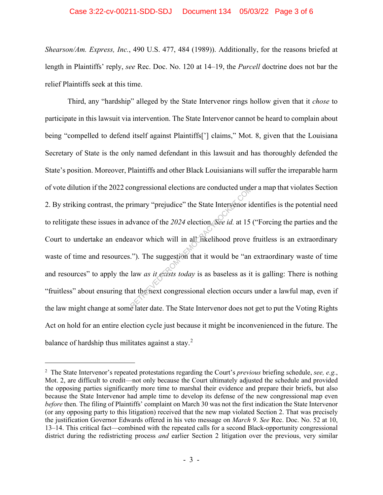*Shearson/Am. Express, Inc.*, 490 U.S. 477, 484 (1989)). Additionally, for the reasons briefed at length in Plaintiffs' reply, *see* Rec. Doc. No. 120 at 14–19, the *Purcell* doctrine does not bar the relief Plaintiffs seek at this time.

Third, any "hardship" alleged by the State Intervenor rings hollow given that it *chose* to participate in this lawsuit via intervention. The State Intervenor cannot be heard to complain about being "compelled to defend itself against Plaintiffs['] claims," Mot. 8, given that the Louisiana Secretary of State is the only named defendant in this lawsuit and has thoroughly defended the State's position. Moreover, Plaintiffs and other Black Louisianians will suffer the irreparable harm of vote dilution if the 2022 congressional elections are conducted under a map that violates Section 2. By striking contrast, the primary "prejudice" the State Intervenor identifies is the potential need to relitigate these issues in advance of the *2024* election. *See id.* at 15 ("Forcing the parties and the Court to undertake an endeavor which will in all likelihood prove fruitless is an extraordinary waste of time and resources."). The suggestion that it would be "an extraordinary waste of time and resources" to apply the law *as it exists today* is as baseless as it is galling: There is nothing "fruitless" about ensuring that the next congressional election occurs under a lawful map, even if the law might change at some later date. The State Intervenor does not get to put the Voting Rights Act on hold for an entire election cycle just because it might be inconvenienced in the future. The balance of hardship thus militates against a stay. $<sup>2</sup>$ </sup> ongressional elections are conducted under<br>
rimary "prejudice" the State Intervenor is<br>
dvance of the 2024 election. See id. at 15<br>
avor which will in all fikelihood prove<br>
."). The suggestion that it would be "an<br>
law as

<sup>2</sup> The State Intervenor's repeated protestations regarding the Court's *previous* briefing schedule, *see, e.g.*, Mot. 2, are difficult to credit—not only because the Court ultimately adjusted the schedule and provided the opposing parties significantly more time to marshal their evidence and prepare their briefs, but also because the State Intervenor had ample time to develop its defense of the new congressional map even *before* then. The filing of Plaintiffs' complaint on March 30 was not the first indication the State Intervenor (or any opposing party to this litigation) received that the new map violated Section 2. That was precisely the justification Governor Edwards offered in his veto message on *March 9*. *See* Rec. Doc. No. 52 at 10, 13–14. This critical fact—combined with the repeated calls for a second Black-opportunity congressional district during the redistricting process *and* earlier Section 2 litigation over the previous, very similar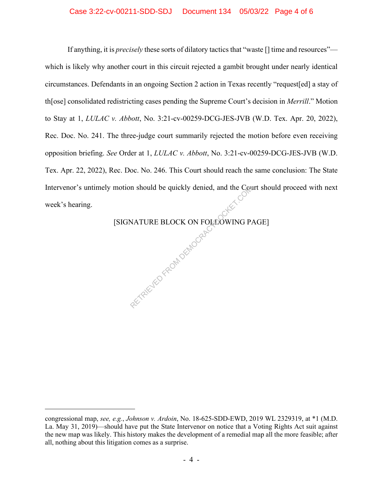### Case 3:22-cv-00211-SDD-SDJ Document 134 05/03/22 Page 4 of 6

If anything, it is *precisely* these sorts of dilatory tactics that "waste [] time and resources" which is likely why another court in this circuit rejected a gambit brought under nearly identical circumstances. Defendants in an ongoing Section 2 action in Texas recently "request[ed] a stay of th[ose] consolidated redistricting cases pending the Supreme Court's decision in *Merrill*." Motion to Stay at 1, *LULAC v. Abbott*, No. 3:21-cv-00259-DCG-JES-JVB (W.D. Tex. Apr. 20, 2022), Rec. Doc. No. 241. The three-judge court summarily rejected the motion before even receiving opposition briefing. *See* Order at 1, *LULAC v. Abbott*, No. 3:21-cv-00259-DCG-JES-JVB (W.D. Tex. Apr. 22, 2022), Rec. Doc. No. 246. This Court should reach the same conclusion: The State Intervenor's untimely motion should be quickly denied, and the Court should proceed with next week's hearing.

> [SIGNATURE BLOCK ON FOLLOWING PAGE] RECTRIC YFOUNDEMOCRAC

congressional map, *see, e.g.*, *Johnson v. Ardoin*, No. 18-625-SDD-EWD, 2019 WL 2329319, at \*1 (M.D. La. May 31, 2019)—should have put the State Intervenor on notice that a Voting Rights Act suit against the new map was likely. This history makes the development of a remedial map all the more feasible; after all, nothing about this litigation comes as a surprise.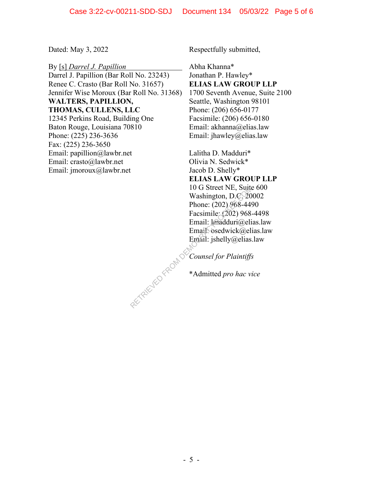By [s] *Darrel J. Papillion* Darrel J. Papillion (Bar Roll No. 23243) Renee C. Crasto (Bar Roll No. 31657) Jennifer Wise Moroux (Bar Roll No. 31368) **WALTERS, PAPILLION, THOMAS, CULLENS, LLC** 12345 Perkins Road, Building One Baton Rouge, Louisiana 70810 Phone: (225) 236-3636 Fax: (225) 236-3650 Email: papillion@lawbr.net Email: crasto@lawbr.net Email: jmoroux@lawbr.net

Dated: May 3, 2022 Respectfully submitted,

Abha Khanna\* Jonathan P. Hawley\* **ELIAS LAW GROUP LLP** 1700 Seventh Avenue, Suite 2100 Seattle, Washington 98101 Phone: (206) 656-0177 Facsimile: (206) 656-0180 Email: akhanna@elias.law Email: jhawley@elias.law

Lalitha D. Madduri\* Olivia N. Sedwick\* Jacob D. Shelly\* **ELIAS LAW GROUP LLP** 10 G Street NE, Suite 600 Washington, D.C. 20002 Phone: (202) 968-4490 Facsimile: (202) 968-4498 Email: lmadduri@elias.law Email<sup>O</sup>sedwick@elias.law Email: jshelly@elias.law RETRIEVED FROM DE

*Counsel for Plaintiffs*

\*Admitted *pro hac vice*